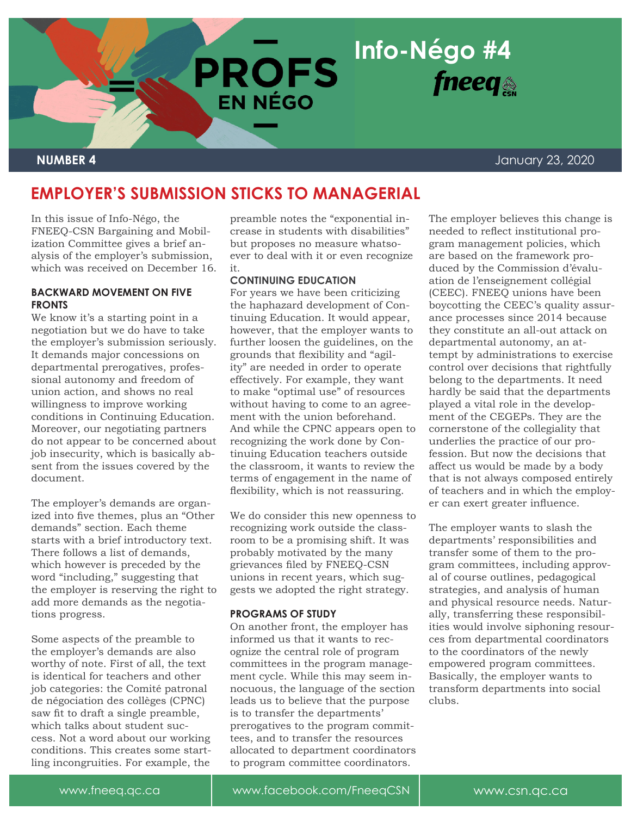

**BARGAIN** 

# **NUMBER 4** January 23, 2020

# **EMPLOYER'S SUBMISSION STICKS TO MANAGERIAL**

**EN NÉGO** 

In this issue of Info-Négo, the FNEEQ-CSN Bargaining and Mobilization Committee gives a brief analysis of the employer's submission, which was received on December 16.

# **BACKWARD MOVEMENT ON FIVE FRONTS**

We know it's a starting point in a negotiation but we do have to take the employer's submission seriously. It demands major concessions on departmental prerogatives, professional autonomy and freedom of union action, and shows no real willingness to improve working conditions in Continuing Education. Moreover, our negotiating partners do not appear to be concerned about job insecurity, which is basically absent from the issues covered by the document.

The employer's demands are organized into five themes, plus an "Other demands" section. Each theme starts with a brief introductory text. There follows a list of demands, which however is preceded by the word "including," suggesting that the employer is reserving the right to add more demands as the negotiations progress.

Some aspects of the preamble to the employer's demands are also worthy of note. First of all, the text is identical for teachers and other job categories: the Comité patronal de négociation des collèges (CPNC) saw fit to draft a single preamble, which talks about student success. Not a word about our working conditions. This creates some startling incongruities. For example, the

preamble notes the "exponential increase in students with disabilities" but proposes no measure whatsoever to deal with it or even recognize it.

# **CONTINUING EDUCATION**

For years we have been criticizing the haphazard development of Continuing Education. It would appear, however, that the employer wants to further loosen the guidelines, on the grounds that flexibility and "agility" are needed in order to operate effectively. For example, they want to make "optimal use" of resources without having to come to an agreement with the union beforehand. And while the CPNC appears open to recognizing the work done by Continuing Education teachers outside the classroom, it wants to review the terms of engagement in the name of flexibility, which is not reassuring.

We do consider this new openness to recognizing work outside the classroom to be a promising shift. It was probably motivated by the many grievances filed by FNEEQ-CSN unions in recent years, which suggests we adopted the right strategy.

### **PROGRAMS OF STUDY**

On another front, the employer has informed us that it wants to recognize the central role of program committees in the program management cycle. While this may seem innocuous, the language of the section leads us to believe that the purpose is to transfer the departments' prerogatives to the program committees, and to transfer the resources allocated to department coordinators to program committee coordinators.

The employer believes this change is needed to reflect institutional program management policies, which are based on the framework produced by the Commission d'évaluation de l'enseignement collégial (CEEC). FNEEQ unions have been boycotting the CEEC's quality assurance processes since 2014 because they constitute an all-out attack on departmental autonomy, an attempt by administrations to exercise control over decisions that rightfully belong to the departments. It need hardly be said that the departments played a vital role in the development of the CEGEPs. They are the cornerstone of the collegiality that underlies the practice of our profession. But now the decisions that affect us would be made by a body that is not always composed entirely of teachers and in which the employer can exert greater influence.

The employer wants to slash the departments' responsibilities and transfer some of them to the program committees, including approval of course outlines, pedagogical strategies, and analysis of human and physical resource needs. Naturally, transferring these responsibilities would involve siphoning resources from departmental coordinators to the coordinators of the newly empowered program committees. Basically, the employer wants to transform departments into social clubs.